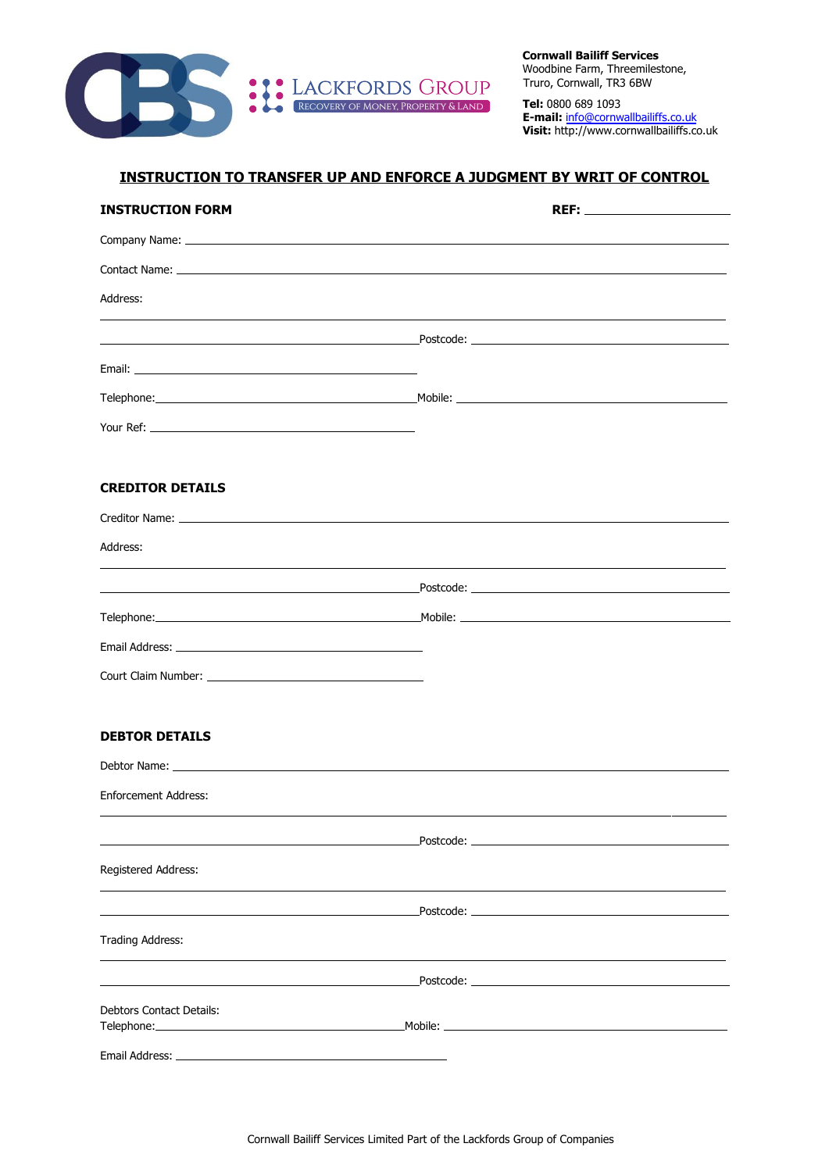

**Cornwall Bailiff Services** Woodbine Farm, Threemilestone, Truro, Cornwall, TR3 6BW

**Tel:** 0800 689 1093 **E-mail:** info@cornwallbailiffs.co.uk **Visit:** http://www.cornwallbailiffs.co.uk

## **INSTRUCTION TO TRANSFER UP AND ENFORCE A JUDGMENT BY WRIT OF CONTROL**

| <b>INSTRUCTION FORM</b>                                                                                                                                                                                                             |                                                                                                                                                                                                                               |
|-------------------------------------------------------------------------------------------------------------------------------------------------------------------------------------------------------------------------------------|-------------------------------------------------------------------------------------------------------------------------------------------------------------------------------------------------------------------------------|
|                                                                                                                                                                                                                                     |                                                                                                                                                                                                                               |
|                                                                                                                                                                                                                                     |                                                                                                                                                                                                                               |
| Address:                                                                                                                                                                                                                            |                                                                                                                                                                                                                               |
|                                                                                                                                                                                                                                     | <u> 1989 - Johann Stoff, deutscher Stoff, der Stoff, der Stoff, der Stoff, der Stoff, der Stoff, der Stoff, der S</u>                                                                                                         |
|                                                                                                                                                                                                                                     |                                                                                                                                                                                                                               |
|                                                                                                                                                                                                                                     |                                                                                                                                                                                                                               |
| <b>The Sour Ref:</b> The Source of the Source of the Source of the Source of the Source of the Source of the Source of the Source of the Source of the Source of the Source of the Source of the Source of the Source of the Source |                                                                                                                                                                                                                               |
| <b>CREDITOR DETAILS</b>                                                                                                                                                                                                             |                                                                                                                                                                                                                               |
|                                                                                                                                                                                                                                     |                                                                                                                                                                                                                               |
| Address:                                                                                                                                                                                                                            |                                                                                                                                                                                                                               |
|                                                                                                                                                                                                                                     |                                                                                                                                                                                                                               |
|                                                                                                                                                                                                                                     |                                                                                                                                                                                                                               |
|                                                                                                                                                                                                                                     |                                                                                                                                                                                                                               |
|                                                                                                                                                                                                                                     |                                                                                                                                                                                                                               |
| <b>DEBTOR DETAILS</b>                                                                                                                                                                                                               |                                                                                                                                                                                                                               |
|                                                                                                                                                                                                                                     |                                                                                                                                                                                                                               |
| <b>Enforcement Address:</b>                                                                                                                                                                                                         |                                                                                                                                                                                                                               |
|                                                                                                                                                                                                                                     | Postcode: will be a series of the contract of the contract of the contract of the contract of the contract of the contract of the contract of the contract of the contract of the contract of the contract of the contract of |
| Registered Address:                                                                                                                                                                                                                 |                                                                                                                                                                                                                               |
|                                                                                                                                                                                                                                     |                                                                                                                                                                                                                               |
| Trading Address:                                                                                                                                                                                                                    |                                                                                                                                                                                                                               |
|                                                                                                                                                                                                                                     |                                                                                                                                                                                                                               |
| <b>Debtors Contact Details:</b>                                                                                                                                                                                                     |                                                                                                                                                                                                                               |
|                                                                                                                                                                                                                                     |                                                                                                                                                                                                                               |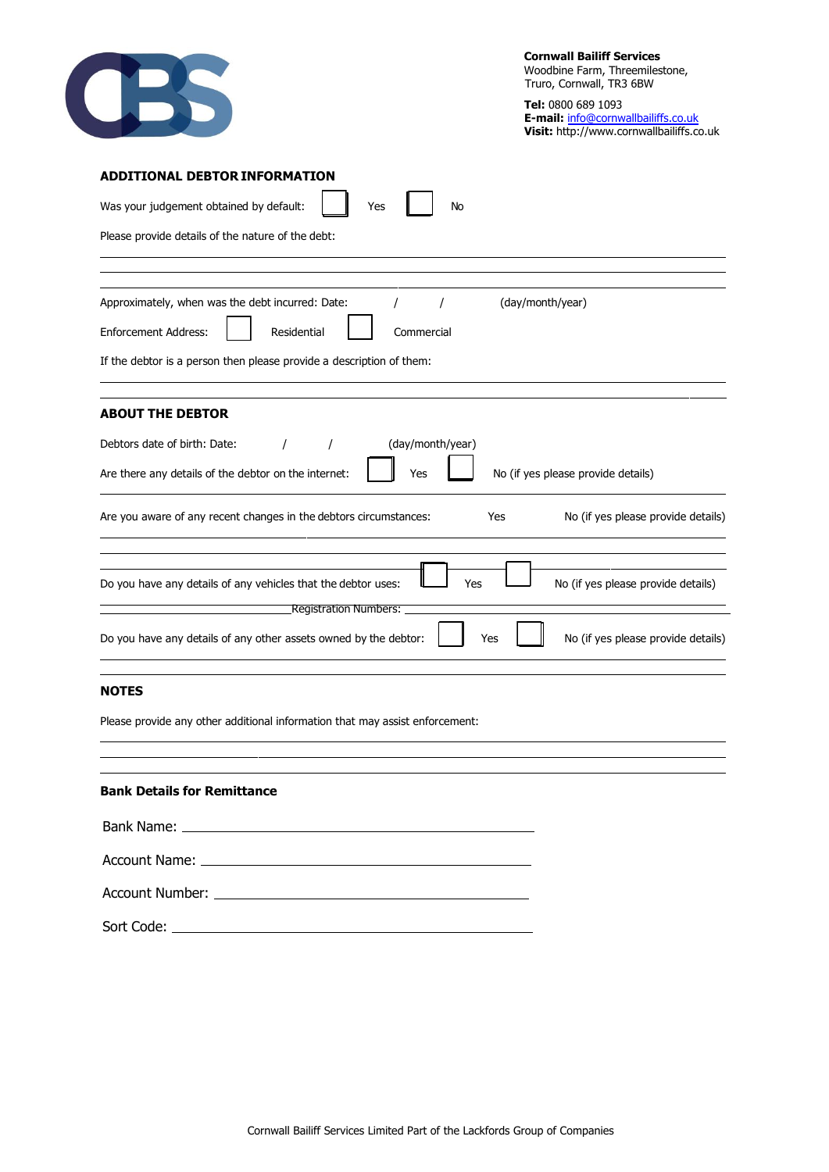| ÷ |
|---|

**Tel:** 0800 689 1093 **E-mail:** info@cornwallbailiffs.co.uk **Visit:** http://www.cornwallbailiffs.co.uk

| <b>ADDITIONAL DEBTOR INFORMATION</b>                                                                                                       |  |  |  |  |
|--------------------------------------------------------------------------------------------------------------------------------------------|--|--|--|--|
| Was your judgement obtained by default:<br>Yes<br>No                                                                                       |  |  |  |  |
| Please provide details of the nature of the debt:                                                                                          |  |  |  |  |
|                                                                                                                                            |  |  |  |  |
| Approximately, when was the debt incurred: Date:<br>(day/month/year)                                                                       |  |  |  |  |
| <b>Enforcement Address:</b><br>Residential<br>Commercial                                                                                   |  |  |  |  |
| If the debtor is a person then please provide a description of them:                                                                       |  |  |  |  |
| <b>ABOUT THE DEBTOR</b>                                                                                                                    |  |  |  |  |
| Debtors date of birth: Date:<br>(day/month/year)<br>1                                                                                      |  |  |  |  |
| No (if yes please provide details)<br>Are there any details of the debtor on the internet:<br>Yes                                          |  |  |  |  |
| Are you aware of any recent changes in the debtors circumstances:<br>No (if yes please provide details)<br>Yes                             |  |  |  |  |
| Yes<br>No (if yes please provide details)<br>Do you have any details of any vehicles that the debtor uses:<br><b>Registration Numbers:</b> |  |  |  |  |
| Do you have any details of any other assets owned by the debtor:<br>No (if yes please provide details)<br>Yes                              |  |  |  |  |
| <b>NOTES</b>                                                                                                                               |  |  |  |  |
| Please provide any other additional information that may assist enforcement:                                                               |  |  |  |  |
|                                                                                                                                            |  |  |  |  |
| <b>Bank Details for Remittance</b>                                                                                                         |  |  |  |  |
|                                                                                                                                            |  |  |  |  |
|                                                                                                                                            |  |  |  |  |
|                                                                                                                                            |  |  |  |  |

Sort Code: